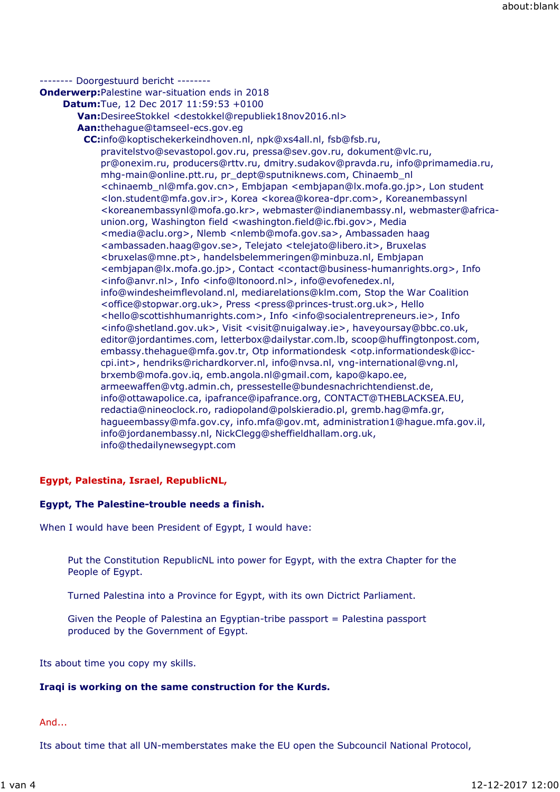## -------- Doorgestuurd bericht --------

**Onderwerp:**Palestine war-situation ends in 2018

**Datum:**Tue, 12 Dec 2017 11:59:53 +0100

```
Van:DesireeStokkel <destokkel@republiek18nov2016.nl>
```
**Aan:**thehague@tamseel-ecs.gov.eg

**CC:**info@koptischekerkeindhoven.nl, npk@xs4all.nl, fsb@fsb.ru, pravitelstvo@sevastopol.gov.ru, pressa@sev.gov.ru, dokument@vlc.ru, pr@onexim.ru, producers@rttv.ru, dmitry.sudakov@pravda.ru, info@primamedia.ru, mhg-main@online.ptt.ru, pr\_dept@sputniknews.com, Chinaemb\_nl <chinaemb\_nl@mfa.gov.cn>, Embjapan <embjapan@lx.mofa.go.jp>, Lon student <lon.student@mfa.gov.ir>, Korea <korea@korea-dpr.com>, Koreanembassynl <koreanembassynl@mofa.go.kr>, webmaster@indianembassy.nl, webmaster@africaunion.org, Washington field <washington.field@ic.fbi.gov>, Media <media@aclu.org>, Nlemb <nlemb@mofa.gov.sa>, Ambassaden haag <ambassaden.haag@gov.se>, Telejato <telejato@libero.it>, Bruxelas <bruxelas@mne.pt>, handelsbelemmeringen@minbuza.nl, Embjapan <embjapan@lx.mofa.go.jp>, Contact <contact@business-humanrights.org>, Info <info@anvr.nl>, Info <info@ltonoord.nl>, info@evofenedex.nl, info@windesheimflevoland.nl, mediarelations@klm.com, Stop the War Coalition <office@stopwar.org.uk>, Press <press@princes-trust.org.uk>, Hello <hello@scottishhumanrights.com>, Info <info@socialentrepreneurs.ie>, Info <info@shetland.gov.uk>, Visit <visit@nuigalway.ie>, haveyoursay@bbc.co.uk, editor@jordantimes.com, letterbox@dailystar.com.lb, scoop@huffingtonpost.com, embassy.thehague@mfa.gov.tr, Otp informationdesk <otp.informationdesk@icccpi.int>, hendriks@richardkorver.nl, info@nvsa.nl, vng-international@vng.nl, brxemb@mofa.gov.iq, emb.angola.nl@gmail.com, kapo@kapo.ee, armeewaffen@vtg.admin.ch, pressestelle@bundesnachrichtendienst.de, info@ottawapolice.ca, ipafrance@ipafrance.org, CONTACT@THEBLACKSEA.EU, redactia@nineoclock.ro, radiopoland@polskieradio.pl, gremb.hag@mfa.gr, hagueembassy@mfa.gov.cy, info.mfa@gov.mt, administration1@hague.mfa.gov.il, info@jordanembassy.nl, NickClegg@sheffieldhallam.org.uk, info@thedailynewsegypt.com

## **Egypt, Palestina, Israel, RepublicNL,**

## **Egypt, The Palestine-trouble needs a finish.**

When I would have been President of Egypt, I would have:

Put the Constitution RepublicNL into power for Egypt, with the extra Chapter for the People of Egypt.

Turned Palestina into a Province for Egypt, with its own Dictrict Parliament.

Given the People of Palestina an Egyptian-tribe passport = Palestina passport produced by the Government of Egypt.

Its about time you copy my skills.

## **Iraqi is working on the same construction for the Kurds.**

And...

Its about time that all UN-memberstates make the EU open the Subcouncil National Protocol,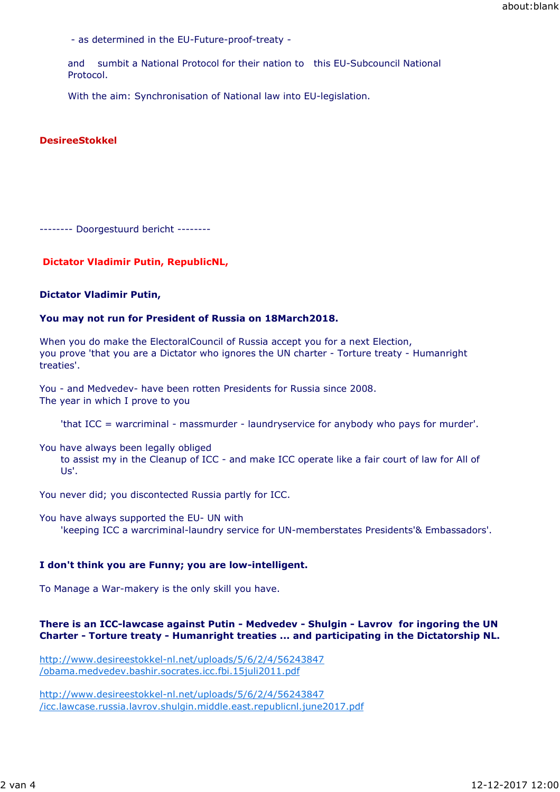- as determined in the EU-Future-proof-treaty -

and sumbit a National Protocol for their nation to this EU-Subcouncil National Protocol.

With the aim: Synchronisation of National law into EU-legislation.

#### **DesireeStokkel**

-------- Doorgestuurd bericht --------

### **Dictator Vladimir Putin, RepublicNL,**

#### **Dictator Vladimir Putin,**

#### **You may not run for President of Russia on 18March2018.**

When you do make the ElectoralCouncil of Russia accept you for a next Election, you prove 'that you are a Dictator who ignores the UN charter - Torture treaty - Humanright treaties'.

You - and Medvedev- have been rotten Presidents for Russia since 2008. The year in which I prove to you

'that ICC = warcriminal - massmurder - laundryservice for anybody who pays for murder'.

You have always been legally obliged to assist my in the Cleanup of ICC - and make ICC operate like a fair court of law for All of Us'.

You never did; you discontected Russia partly for ICC.

You have always supported the EU- UN with 'keeping ICC a warcriminal-laundry service for UN-memberstates Presidents'& Embassadors'.

#### **I don't think you are Funny; you are low-intelligent.**

To Manage a War-makery is the only skill you have.

## **There is an ICC-lawcase against Putin - Medvedev - Shulgin - Lavrov for ingoring the UN Charter - Torture treaty - Humanright treaties ... and participating in the Dictatorship NL.**

http://www.desireestokkel-nl.net/uploads/5/6/2/4/56243847 /obama.medvedev.bashir.socrates.icc.fbi.15juli2011.pdf

http://www.desireestokkel-nl.net/uploads/5/6/2/4/56243847 /icc.lawcase.russia.lavrov.shulgin.middle.east.republicnl.june2017.pdf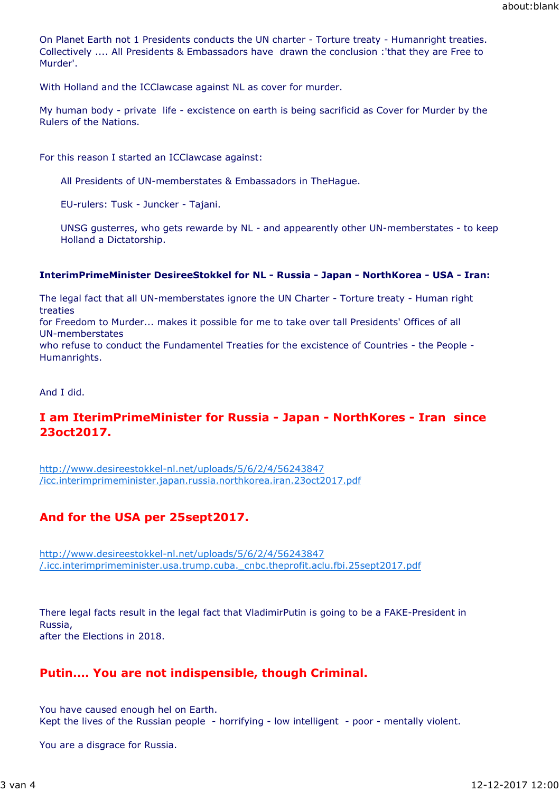On Planet Earth not 1 Presidents conducts the UN charter - Torture treaty - Humanright treaties. Collectively .... All Presidents & Embassadors have drawn the conclusion :'that they are Free to Murder'.

With Holland and the ICClawcase against NL as cover for murder.

My human body - private life - excistence on earth is being sacrificid as Cover for Murder by the Rulers of the Nations.

For this reason I started an ICClawcase against:

All Presidents of UN-memberstates & Embassadors in TheHague.

EU-rulers: Tusk - Juncker - Tajani.

UNSG gusterres, who gets rewarde by NL - and appearently other UN-memberstates - to keep Holland a Dictatorship.

## **InterimPrimeMinister DesireeStokkel for NL - Russia - Japan - NorthKorea - USA - Iran:**

The legal fact that all UN-memberstates ignore the UN Charter - Torture treaty - Human right treaties

for Freedom to Murder... makes it possible for me to take over tall Presidents' Offices of all UN-memberstates

who refuse to conduct the Fundamentel Treaties for the excistence of Countries - the People - Humanrights.

And I did.

# **I am IterimPrimeMinister for Russia - Japan - NorthKores - Iran since 23oct2017.**

http://www.desireestokkel-nl.net/uploads/5/6/2/4/56243847 /icc.interimprimeminister.japan.russia.northkorea.iran.23oct2017.pdf

# **And for the USA per 25sept2017.**

http://www.desireestokkel-nl.net/uploads/5/6/2/4/56243847 /.icc.interimprimeminister.usa.trump.cuba.\_cnbc.theprofit.aclu.fbi.25sept2017.pdf

There legal facts result in the legal fact that VladimirPutin is going to be a FAKE-President in Russia, after the Elections in 2018.

# **Putin.... You are not indispensible, though Criminal.**

You have caused enough hel on Earth. Kept the lives of the Russian people - horrifying - low intelligent - poor - mentally violent.

You are a disgrace for Russia.